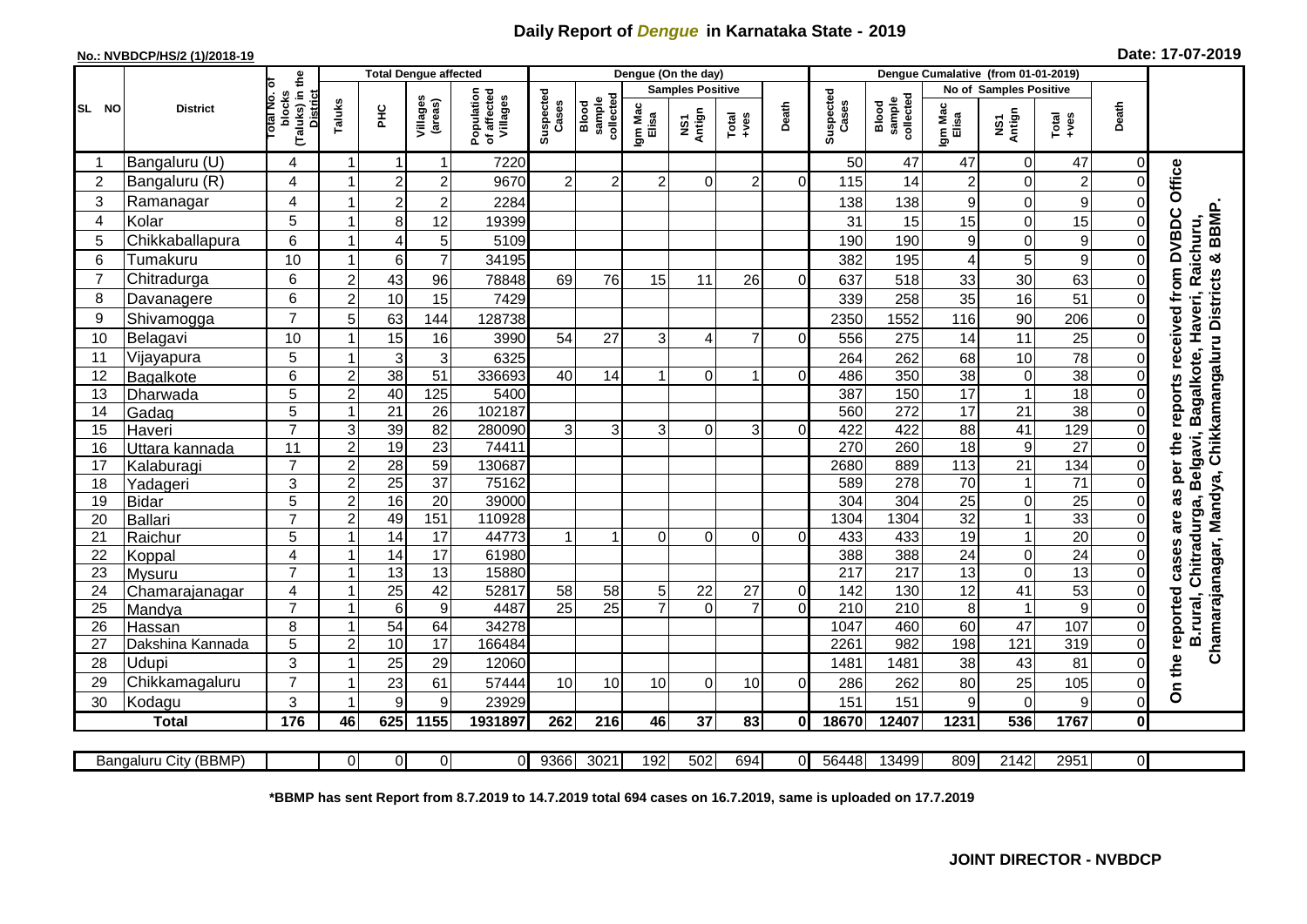## **Daily Report of** *Dengue* **in Karnataka State - 2019**

## **No.: NVBDCP/HS/2 (1)/2018-19 Date: 17-07-2019**

|                |                          |                                                       |                                           | <b>Total Dengue affected</b> |                        |                                       |                       |                              | Dengue (On the day)              |                   |                                                              |                            |                    |                              |                  |                                   |                      |                |                                                                                                          |
|----------------|--------------------------|-------------------------------------------------------|-------------------------------------------|------------------------------|------------------------|---------------------------------------|-----------------------|------------------------------|----------------------------------|-------------------|--------------------------------------------------------------|----------------------------|--------------------|------------------------------|------------------|-----------------------------------|----------------------|----------------|----------------------------------------------------------------------------------------------------------|
|                |                          |                                                       |                                           |                              |                        |                                       |                       |                              | <b>Samples Positive</b>          |                   |                                                              |                            |                    |                              |                  | No of Samples Positive            |                      |                |                                                                                                          |
| SL NO          | <b>District</b>          | (Taluks) in the<br>District<br>lotal No. ol<br>blocks | Taluks                                    | <b>PHC</b>                   | Villages<br>(areas)    | Population<br>of affected<br>Villages | Suspected<br>Cases    | sample<br>collected<br>Blood | Igm Mac<br>Elisa                 | NS1<br>Antign     | $\begin{array}{c}\n\text{Total} \\ \text{+ves}\n\end{array}$ | Death                      | Suspected<br>Cases | collected<br>sample<br>Blood | Igm Mac<br>Elisa | Antign<br>Σ                       | Total<br>+ves        | Death          |                                                                                                          |
|                | Bangaluru (U)            | 4                                                     | -1                                        |                              | 1                      | 7220                                  |                       |                              |                                  |                   |                                                              |                            | 50                 | 47                           | 47               | $\mathbf 0$                       | 47                   | $\Omega$       |                                                                                                          |
| $\overline{2}$ | Bangaluru (R)            | 4                                                     |                                           | $\overline{2}$               | $\overline{2}$         | 9670                                  | $\overline{2}$        | $\mathbf{2}^{\mathsf{I}}$    |                                  | 0                 | 2                                                            | ΩI                         | 115                | 14                           | $\overline{c}$   | $\Omega$                          | $\overline{2}$       | 0              | Office                                                                                                   |
| 3              | Ramanagar                | 4                                                     |                                           | $\overline{2}$               | $\mathbf 2$            | 2284                                  |                       |                              |                                  |                   |                                                              |                            | 138                | 138                          | 9                | $\mathbf 0$                       | 9                    | 0              |                                                                                                          |
| $\overline{4}$ | Kolar                    | 5                                                     |                                           | 8                            | 12                     | 19399                                 |                       |                              |                                  |                   |                                                              |                            | 31                 | 15                           | 15               | $\mathbf 0$                       | 15                   | 0              |                                                                                                          |
| 5              | Chikkaballapura          | 6                                                     |                                           | $\overline{4}$               | 5                      | 5109                                  |                       |                              |                                  |                   |                                                              |                            | 190                | 190                          | 9                | $\mathbf 0$                       | 9                    | 0              | <b>BBMP</b>                                                                                              |
| 6              | Tumakuru                 | 10                                                    |                                           | 6                            | $\overline{7}$         | 34195                                 |                       |                              |                                  |                   |                                                              |                            | 382                | 195                          | 4                | 5                                 | 9                    | 0              |                                                                                                          |
| 7              | Chitradurga              | 6                                                     | $\overline{c}$                            | 43                           | 96                     | 78848                                 | 69                    | 76                           | 15                               | 11                | 26                                                           | $\Omega$                   | 637                | 518                          | 33               | 30                                | 63                   | 0              | Raichuru                                                                                                 |
| 8              | Davanagere               | 6                                                     | $\overline{c}$                            | 10                           | 15                     | 7429                                  |                       |                              |                                  |                   |                                                              |                            | 339                | 258                          | 35               | 16                                | 51                   | 0              |                                                                                                          |
| 9              | Shivamogga               | $\overline{7}$                                        | 5                                         | 63                           | 144                    | 128738                                |                       |                              |                                  |                   |                                                              |                            | 2350               | 1552                         | 116              | 90                                | 206                  | 0              | as per the reports received from DVBDC<br>Chamarajanagar, Mandya, Chikkamangaluru Districts &<br>Haveri, |
| 10             | Belagavi                 | 10                                                    |                                           | 15                           | 16                     | 3990                                  | 54                    | 27                           | 3                                | Δ                 | $\overline{7}$                                               | $\Omega$                   | 556                | 275                          | 14               | 11                                | 25                   | $\Omega$       |                                                                                                          |
| 11             | Vijayapura               | 5                                                     |                                           | 3                            | 3                      | 6325                                  |                       |                              |                                  |                   |                                                              |                            | 264                | 262                          | 68               | 10                                | $\overline{78}$      | 0              |                                                                                                          |
| 12             | Bagalkote                | 6                                                     | $\overline{2}$                            | $\overline{38}$              | 51                     | 336693                                | 40                    | 14                           | $\overline{1}$                   | $\Omega$          | 1                                                            | 0                          | 486                | 350                          | 38               | $\boldsymbol{0}$                  | 38                   | 0              | Bagalkote,                                                                                               |
| 13             | Dharwada                 | 5                                                     | $\overline{2}$                            | 40                           | 125                    | 5400                                  |                       |                              |                                  |                   |                                                              |                            | 387                | 150                          | $\overline{17}$  | $\mathbf{1}$                      | $\overline{18}$      | 0              |                                                                                                          |
| 14             | Gadag                    | $\overline{5}$                                        | $\overline{ }$                            | $\overline{21}$              | $\overline{26}$        | 102187                                |                       |                              |                                  |                   |                                                              |                            | 560                | 272                          | 17               | 21                                | 38                   | 0              |                                                                                                          |
| 15             | Haveri                   | $\overline{7}$                                        | 3                                         | 39                           | 82                     | 280090                                | 3                     | 3                            | 3                                | $\Omega$          | 3                                                            | 0                          | 422                | 422                          | 88               | 41                                | 129                  | 0              |                                                                                                          |
| 16             | Uttara kannada           | 11                                                    | $\overline{c}$                            | 19                           | $\overline{23}$        | 7441                                  |                       |                              |                                  |                   |                                                              |                            | 270                | 260                          | $\overline{18}$  | $\boldsymbol{9}$                  | $\overline{27}$      | 0              |                                                                                                          |
| 17             | Kalaburagi               | $\overline{7}$                                        | $\overline{2}$                            | 28                           | 59                     | 130687                                |                       |                              |                                  |                   |                                                              |                            | 2680               | 889                          | 113              | $\overline{21}$                   | 134                  | 0              |                                                                                                          |
| 18             | Yadageri                 | 3                                                     | $\overline{c}$                            | $\overline{25}$              | $\overline{37}$        | 75162                                 |                       |                              |                                  |                   |                                                              |                            | 589                | 278                          | 70               | $\mathbf{1}$                      | $\overline{71}$      | $\Omega$       |                                                                                                          |
| 19             | <b>Bidar</b>             | 5                                                     | $\overline{c}$                            | 16                           | $\overline{20}$        | 39000                                 |                       |                              |                                  |                   |                                                              |                            | 304                | 304                          | $\overline{25}$  | $\boldsymbol{0}$                  | $\overline{25}$      | $\Omega$       |                                                                                                          |
| 20             | <b>Ballari</b>           | $\overline{7}$                                        | $\overline{2}$                            | 49                           | 151                    | 110928                                |                       |                              |                                  |                   |                                                              |                            | 1304               | 1304                         | 32               | $\overline{1}$                    | 33                   | $\Omega$       | are                                                                                                      |
| 21             | Raichur                  | 5                                                     |                                           | 14                           | $\overline{17}$        | 44773                                 |                       |                              | $\Omega$                         | $\Omega$          | $\Omega$                                                     | 0                          | 433                | 433                          | 19               | $\mathbf{1}$                      | 20                   | 0              | Chitradurga, Belgavi,                                                                                    |
| 22             | Koppal                   | 4<br>$\overline{7}$                                   | $\overline{1}$<br>$\overline{\mathbf{1}}$ | 14                           | 17                     | 61980                                 |                       |                              |                                  |                   |                                                              |                            | 388                | 388                          | 24               | $\boldsymbol{0}$                  | $\overline{24}$      | 0              | cases                                                                                                    |
| 23             | Mysuru                   |                                                       | -1                                        | 13                           | $\overline{13}$        | 15880                                 |                       |                              |                                  |                   |                                                              |                            | $\overline{217}$   | $\overline{217}$             | $\overline{13}$  | $\overline{0}$<br>$\overline{41}$ | 13                   | $\Omega$       |                                                                                                          |
| 24<br>25       | Chamarajanagar<br>Mandya | 4<br>$\overline{7}$                                   |                                           | 25<br>6                      | 42<br>$\boldsymbol{9}$ | 52817<br>4487                         | 58<br>$\overline{25}$ | 58<br>$\overline{25}$        | 5 <sub>l</sub><br>$\overline{7}$ | 22<br>$\mathbf 0$ | 27<br>$\overline{7}$                                         | $\overline{0}$<br>$\Omega$ | 142<br>210         | 130<br>210                   | 12<br>8          | $\mathbf{1}$                      | $\overline{53}$<br>9 | 0<br>0         |                                                                                                          |
| 26             | Hassan                   | 8                                                     |                                           | 54                           | 64                     | 34278                                 |                       |                              |                                  |                   |                                                              |                            | 1047               | 460                          | 60               | $\overline{47}$                   | 107                  | 0              | B.rural,                                                                                                 |
| 27             | Dakshina Kannada         | 5                                                     | $\overline{c}$                            | 10                           | 17                     | 166484                                |                       |                              |                                  |                   |                                                              |                            | 2261               | 982                          | 198              | 121                               | 319                  | $\overline{0}$ |                                                                                                          |
| 28             | Udupi                    | 3                                                     |                                           | 25                           | 29                     | 12060                                 |                       |                              |                                  |                   |                                                              |                            | 1481               | 1481                         | 38               | 43                                | 81                   | 0              |                                                                                                          |
| 29             | Chikkamagaluru           | $\overline{7}$                                        |                                           | $\overline{23}$              | 61                     | 57444                                 | 10                    | 10 <sup>1</sup>              | 10 <sup>1</sup>                  | $\Omega$          | 10                                                           | $\Omega$                   | 286                | 262                          | 80               | $\overline{25}$                   | 105                  | 0              | On the reported                                                                                          |
| 30             | Kodagu                   | 3                                                     |                                           | 9                            | 9                      | 23929                                 |                       |                              |                                  |                   |                                                              |                            | 151                | 151                          | 9                | $\mathbf 0$                       | 9                    | 0              |                                                                                                          |
|                | <b>Total</b>             | 176                                                   | 46                                        | 625                          | 1155                   | 1931897                               | 262                   | 216                          | 46                               | 37                | 83                                                           | Οl                         | 18670              | 12407                        | 1231             | 536                               | 1767                 | $\mathbf{0}$   |                                                                                                          |
|                |                          |                                                       |                                           |                              |                        |                                       |                       |                              |                                  |                   |                                                              |                            |                    |                              |                  |                                   |                      |                |                                                                                                          |
|                | Bangaluru City (BBMP)    |                                                       | $\Omega$                                  | $\overline{0}$               | $\overline{0}$         | $\Omega$                              | 9366                  | 3021                         | 192                              | 502               | 694                                                          | ΩI                         | 56448              | 13499                        | 809              | 2142                              | 2951                 | οI             |                                                                                                          |

**\*BBMP has sent Report from 8.7.2019 to 14.7.2019 total 694 cases on 16.7.2019, same is uploaded on 17.7.2019**